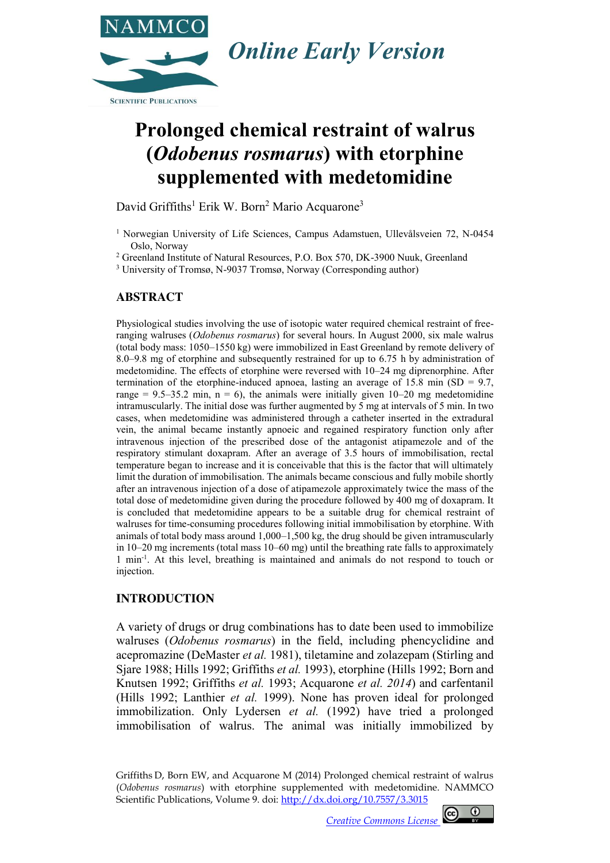

# **Prolonged chemical restraint of walrus (***Odobenus rosmarus***) with etorphine supplemented with medetomidine**

David Griffiths<sup>1</sup> Erik W. Born<sup>2</sup> Mario Acquarone<sup>3</sup>

<sup>1</sup> Norwegian University of Life Sciences, Campus Adamstuen, Ullevålsveien 72, N-0454 Oslo, Norway

<sup>2</sup> Greenland Institute of Natural Resources, P.O. Box 570, DK-3900 Nuuk, Greenland

<sup>3</sup> University of Tromsø, N-9037 Tromsø, Norway (Corresponding author)

### **ABSTRACT**

Physiological studies involving the use of isotopic water required chemical restraint of freeranging walruses (*Odobenus rosmarus*) for several hours. In August 2000, six male walrus (total body mass: 1050–1550 kg) were immobilized in East Greenland by remote delivery of 8.0–9.8 mg of etorphine and subsequently restrained for up to 6.75 h by administration of medetomidine. The effects of etorphine were reversed with 10–24 mg diprenorphine. After termination of the etorphine-induced apnoea, lasting an average of 15.8 min  $(SD = 9.7)$ , range =  $9.5-35.2$  min,  $n = 6$ ), the animals were initially given 10–20 mg medetomidine intramuscularly. The initial dose was further augmented by 5 mg at intervals of 5 min. In two cases, when medetomidine was administered through a catheter inserted in the extradural vein, the animal became instantly apnoeic and regained respiratory function only after intravenous injection of the prescribed dose of the antagonist atipamezole and of the respiratory stimulant doxapram. After an average of 3.5 hours of immobilisation, rectal temperature began to increase and it is conceivable that this is the factor that will ultimately limit the duration of immobilisation. The animals became conscious and fully mobile shortly after an intravenous injection of a dose of atipamezole approximately twice the mass of the total dose of medetomidine given during the procedure followed by 400 mg of doxapram. It is concluded that medetomidine appears to be a suitable drug for chemical restraint of walruses for time-consuming procedures following initial immobilisation by etorphine. With animals of total body mass around 1,000–1,500 kg, the drug should be given intramuscularly in 10–20 mg increments (total mass 10–60 mg) until the breathing rate falls to approximately 1 min-1 . At this level, breathing is maintained and animals do not respond to touch or injection.

### **INTRODUCTION**

A variety of drugs or drug combinations has to date been used to immobilize walruses (*Odobenus rosmarus*) in the field, including phencyclidine and acepromazine (DeMaster *et al.* 1981), tiletamine and zolazepam (Stirling and Sjare 1988; Hills 1992; Griffiths *et al.* 1993), etorphine (Hills 1992; Born and Knutsen 1992; Griffiths *et al.* 1993; Acquarone *et al. 2014*) and carfentanil (Hills 1992; Lanthier *et al.* 1999). None has proven ideal for prolonged immobilization. Only Lydersen *et al.* (1992) have tried a prolonged immobilisation of walrus. The animal was initially immobilized by

Griffiths D, Born EW, and Acquarone M (2014) Prolonged chemical restraint of walrus (*Odobenus rosmarus*) with etorphine supplemented with medetomidine. NAMMCO Scientific Publications, Volume 9. doi: [http://dx.doi.org/10.7557/3.3](http://dx.doi.org/10.7557/3.XXXX)015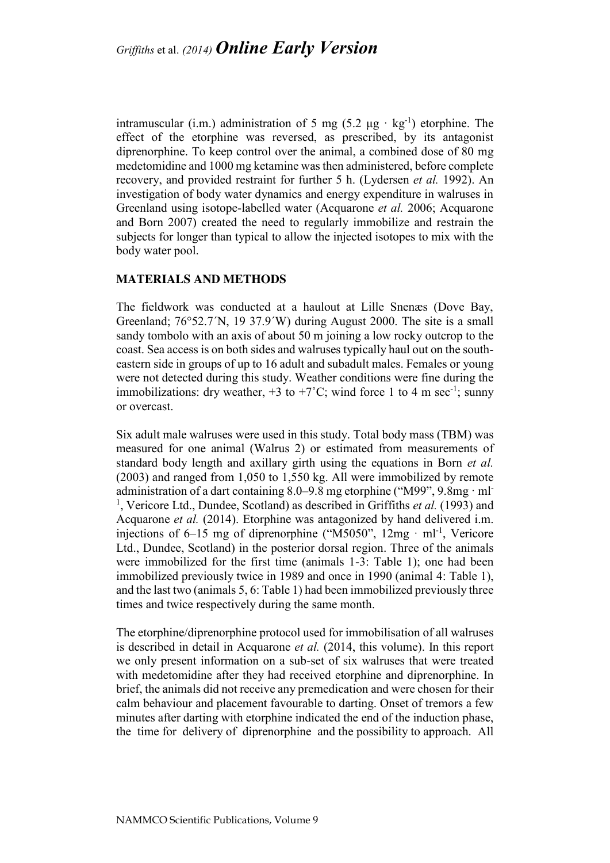intramuscular (i.m.) administration of 5 mg (5.2  $\mu$ g · kg<sup>-1</sup>) etorphine. The effect of the etorphine was reversed, as prescribed, by its antagonist diprenorphine. To keep control over the animal, a combined dose of 80 mg medetomidine and 1000 mg ketamine was then administered, before complete recovery, and provided restraint for further 5 h. (Lydersen *et al.* 1992). An investigation of body water dynamics and energy expenditure in walruses in Greenland using isotope-labelled water (Acquarone *et al.* 2006; Acquarone and Born 2007) created the need to regularly immobilize and restrain the subjects for longer than typical to allow the injected isotopes to mix with the body water pool.

#### **MATERIALS AND METHODS**

The fieldwork was conducted at a haulout at Lille Snenæs (Dove Bay, Greenland; 76°52.7´N, 19 37.9´W) during August 2000. The site is a small sandy tombolo with an axis of about 50 m joining a low rocky outcrop to the coast. Sea access is on both sides and walruses typically haul out on the southeastern side in groups of up to 16 adult and subadult males. Females or young were not detected during this study. Weather conditions were fine during the immobilizations: dry weather,  $+3$  to  $+7^{\circ}$ C; wind force 1 to 4 m sec<sup>-1</sup>; sunny or overcast.

Six adult male walruses were used in this study. Total body mass (TBM) was measured for one animal (Walrus 2) or estimated from measurements of standard body length and axillary girth using the equations in Born *et al.* (2003) and ranged from 1,050 to 1,550 kg. All were immobilized by remote administration of a dart containing 8.0–9.8 mg etorphine ("M99", 9.8mg · ml-<sup>1</sup>, Vericore Ltd., Dundee, Scotland) as described in Griffiths *et al.* (1993) and Acquarone *et al.* (2014). Etorphine was antagonized by hand delivered i.m. injections of  $6-15$  mg of diprenorphine ("M5050",  $12mg - ml^{-1}$ , Vericore Ltd., Dundee, Scotland) in the posterior dorsal region. Three of the animals were immobilized for the first time (animals 1-3: Table 1); one had been immobilized previously twice in 1989 and once in 1990 (animal 4: Table 1), and the last two (animals 5, 6: Table 1) had been immobilized previously three times and twice respectively during the same month.

The etorphine/diprenorphine protocol used for immobilisation of all walruses is described in detail in Acquarone *et al.* (2014, this volume). In this report we only present information on a sub-set of six walruses that were treated with medetomidine after they had received etorphine and diprenorphine. In brief, the animals did not receive any premedication and were chosen for their calm behaviour and placement favourable to darting. Onset of tremors a few minutes after darting with etorphine indicated the end of the induction phase, the time for delivery of diprenorphine and the possibility to approach. All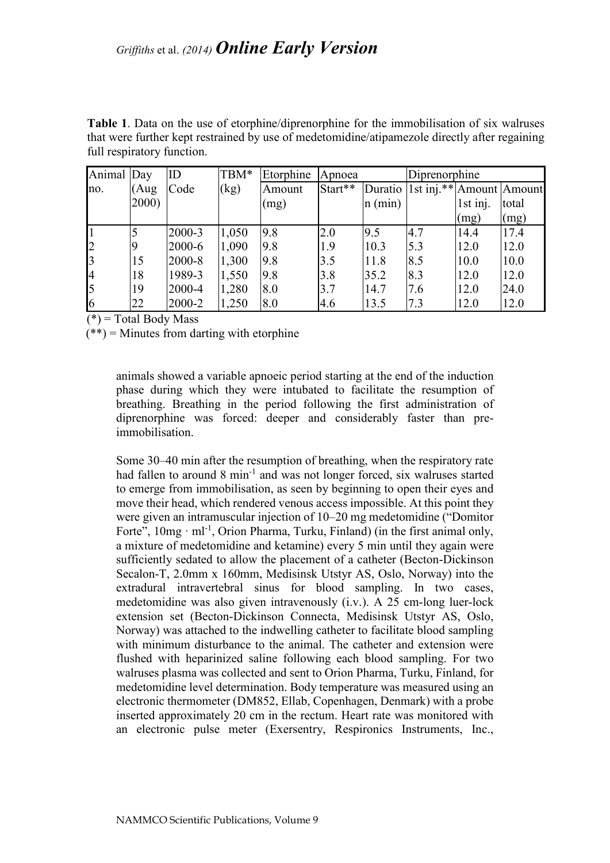**Table 1**. Data on the use of etorphine/diprenorphine for the immobilisation of six walruses that were further kept restrained by use of medetomidine/atipamezole directly after regaining full respiratory function.

| Animal Day     |       | ID     | TBM*  | Etorphine | Apnoea  |           | Diprenorphine                          |          |       |
|----------------|-------|--------|-------|-----------|---------|-----------|----------------------------------------|----------|-------|
| no.            | (Aug) | Code   | (kg)  | Amount    | Start** |           | Duratio   1st inj.**   Amount   Amount |          |       |
|                | 2000) |        |       | (mg)      |         | $n$ (min) |                                        | 1st inj. | total |
|                |       |        |       |           |         |           |                                        | (mg)     | (mg)  |
|                |       | 2000-3 | 1,050 | 9.8       | 2.0     | 9.5       | 4.7                                    | 14.4     | 17.4  |
| l2             |       | 2000-6 | 1,090 | 9.8       | 1.9     | 10.3      | 5.3                                    | 12.0     | 12.0  |
| $\overline{3}$ | 15    | 2000-8 | 1,300 | 9.8       | 3.5     | 11.8      | 8.5                                    | 10.0     | 10.0  |
| 4              | 18    | 1989-3 | 1,550 | 9.8       | 3.8     | 35.2      | 8.3                                    | 12.0     | 12.0  |
| 5              | 19    | 2000-4 | 1,280 | 8.0       | 3.7     | 14.7      | 7.6                                    | 12.0     | 24.0  |
| 6              | 22    | 2000-2 | 1,250 | 8.0       | 4.6     | 13.5      | 7.3                                    | 12.0     | 12.0  |

 $(*)$  = Total Body Mass

 $(**)$  = Minutes from darting with etorphine

animals showed a variable apnoeic period starting at the end of the induction phase during which they were intubated to facilitate the resumption of breathing. Breathing in the period following the first administration of diprenorphine was forced: deeper and considerably faster than preimmobilisation.

Some 30–40 min after the resumption of breathing, when the respiratory rate had fallen to around 8 min<sup>-1</sup> and was not longer forced, six walruses started to emerge from immobilisation, as seen by beginning to open their eyes and move their head, which rendered venous access impossible. At this point they were given an intramuscular injection of 10–20 mg medetomidine ("Domitor Forte",  $10mg \cdot ml^{-1}$ , Orion Pharma, Turku, Finland) (in the first animal only, a mixture of medetomidine and ketamine) every 5 min until they again were sufficiently sedated to allow the placement of a catheter (Becton-Dickinson Secalon-T, 2.0mm x 160mm, Medisinsk Utstyr AS, Oslo, Norway) into the extradural intravertebral sinus for blood sampling. In two cases, medetomidine was also given intravenously (i.v.). A 25 cm-long luer-lock extension set (Becton-Dickinson Connecta, Medisinsk Utstyr AS, Oslo, Norway) was attached to the indwelling catheter to facilitate blood sampling with minimum disturbance to the animal. The catheter and extension were flushed with heparinized saline following each blood sampling. For two walruses plasma was collected and sent to Orion Pharma, Turku, Finland, for medetomidine level determination. Body temperature was measured using an electronic thermometer (DM852, Ellab, Copenhagen, Denmark) with a probe inserted approximately 20 cm in the rectum. Heart rate was monitored with an electronic pulse meter (Exersentry, Respironics Instruments, Inc.,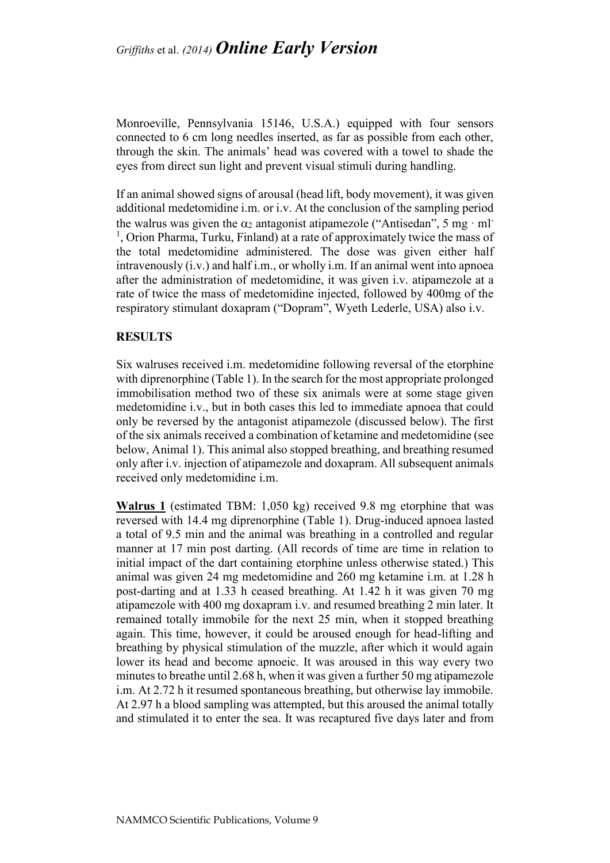Monroeville, Pennsylvania 15146, U.S.A.) equipped with four sensors connected to 6 cm long needles inserted, as far as possible from each other, through the skin. The animals' head was covered with a towel to shade the eyes from direct sun light and prevent visual stimuli during handling.

If an animal showed signs of arousal (head lift, body movement), it was given additional medetomidine i.m. or i.v. At the conclusion of the sampling period the walrus was given the  $\alpha_2$  antagonist atipamezole ("Antisedan", 5 mg · ml <sup>1</sup>, Orion Pharma, Turku, Finland) at a rate of approximately twice the mass of the total medetomidine administered. The dose was given either half intravenously (i.v.) and half i.m., or wholly i.m. If an animal went into apnoea after the administration of medetomidine, it was given i.v. atipamezole at a rate of twice the mass of medetomidine injected, followed by 400mg of the respiratory stimulant doxapram ("Dopram", Wyeth Lederle, USA) also i.v.

#### **RESULTS**

Six walruses received i.m. medetomidine following reversal of the etorphine with diprenorphine (Table 1). In the search for the most appropriate prolonged immobilisation method two of these six animals were at some stage given medetomidine i.v., but in both cases this led to immediate apnoea that could only be reversed by the antagonist atipamezole (discussed below). The first of the six animals received a combination of ketamine and medetomidine (see below, Animal 1). This animal also stopped breathing, and breathing resumed only after i.v. injection of atipamezole and doxapram. All subsequent animals received only medetomidine i.m.

**Walrus 1** (estimated TBM: 1,050 kg) received 9.8 mg etorphine that was reversed with 14.4 mg diprenorphine (Table 1). Drug-induced apnoea lasted a total of 9.5 min and the animal was breathing in a controlled and regular manner at 17 min post darting. (All records of time are time in relation to initial impact of the dart containing etorphine unless otherwise stated.) This animal was given 24 mg medetomidine and 260 mg ketamine i.m. at 1.28 h post-darting and at 1.33 h ceased breathing. At 1.42 h it was given 70 mg atipamezole with 400 mg doxapram i.v. and resumed breathing 2 min later. It remained totally immobile for the next 25 min, when it stopped breathing again. This time, however, it could be aroused enough for head-lifting and breathing by physical stimulation of the muzzle, after which it would again lower its head and become apnoeic. It was aroused in this way every two minutes to breathe until 2.68 h, when it was given a further 50 mg atipamezole i.m. At 2.72 h it resumed spontaneous breathing, but otherwise lay immobile. At 2.97 h a blood sampling was attempted, but this aroused the animal totally and stimulated it to enter the sea. It was recaptured five days later and from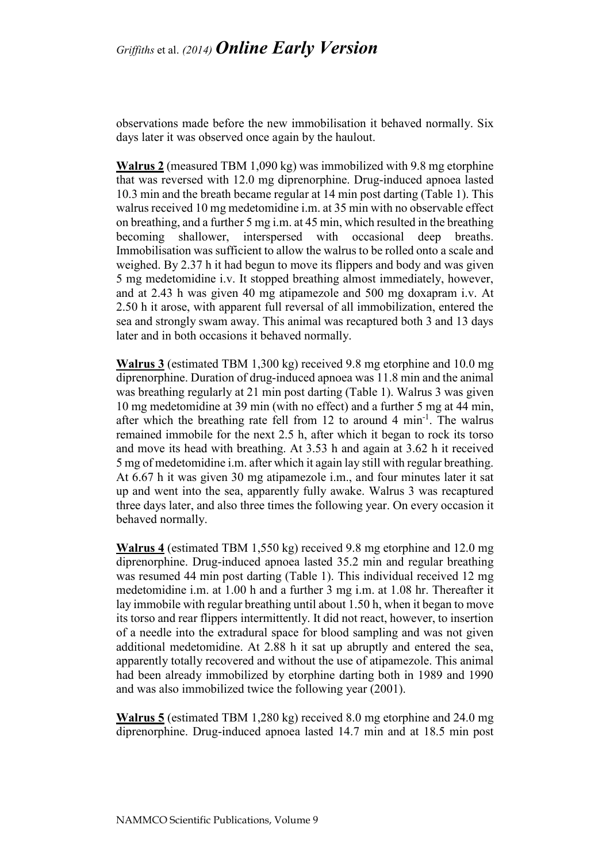observations made before the new immobilisation it behaved normally. Six days later it was observed once again by the haulout.

**Walrus 2** (measured TBM 1,090 kg) was immobilized with 9.8 mg etorphine that was reversed with 12.0 mg diprenorphine. Drug-induced apnoea lasted 10.3 min and the breath became regular at 14 min post darting (Table 1). This walrus received 10 mg medetomidine i.m. at 35 min with no observable effect on breathing, and a further 5 mg i.m. at 45 min, which resulted in the breathing becoming shallower, interspersed with occasional deep breaths. Immobilisation was sufficient to allow the walrus to be rolled onto a scale and weighed. By 2.37 h it had begun to move its flippers and body and was given 5 mg medetomidine i.v. It stopped breathing almost immediately, however, and at 2.43 h was given 40 mg atipamezole and 500 mg doxapram i.v. At 2.50 h it arose, with apparent full reversal of all immobilization, entered the sea and strongly swam away. This animal was recaptured both 3 and 13 days later and in both occasions it behaved normally.

**Walrus 3** (estimated TBM 1,300 kg) received 9.8 mg etorphine and 10.0 mg diprenorphine. Duration of drug-induced apnoea was 11.8 min and the animal was breathing regularly at 21 min post darting (Table 1). Walrus 3 was given 10 mg medetomidine at 39 min (with no effect) and a further 5 mg at 44 min, after which the breathing rate fell from 12 to around 4  $\text{min}^{-1}$ . The walrus remained immobile for the next 2.5 h, after which it began to rock its torso and move its head with breathing. At 3.53 h and again at 3.62 h it received 5 mg of medetomidine i.m. after which it again lay still with regular breathing. At 6.67 h it was given 30 mg atipamezole i.m., and four minutes later it sat up and went into the sea, apparently fully awake. Walrus 3 was recaptured three days later, and also three times the following year. On every occasion it behaved normally.

**Walrus 4** (estimated TBM 1,550 kg) received 9.8 mg etorphine and 12.0 mg diprenorphine. Drug-induced apnoea lasted 35.2 min and regular breathing was resumed 44 min post darting (Table 1). This individual received 12 mg medetomidine i.m. at 1.00 h and a further 3 mg i.m. at 1.08 hr. Thereafter it lay immobile with regular breathing until about 1.50 h, when it began to move its torso and rear flippers intermittently. It did not react, however, to insertion of a needle into the extradural space for blood sampling and was not given additional medetomidine. At 2.88 h it sat up abruptly and entered the sea, apparently totally recovered and without the use of atipamezole. This animal had been already immobilized by etorphine darting both in 1989 and 1990 and was also immobilized twice the following year (2001).

**Walrus 5** (estimated TBM 1,280 kg) received 8.0 mg etorphine and 24.0 mg diprenorphine. Drug-induced apnoea lasted 14.7 min and at 18.5 min post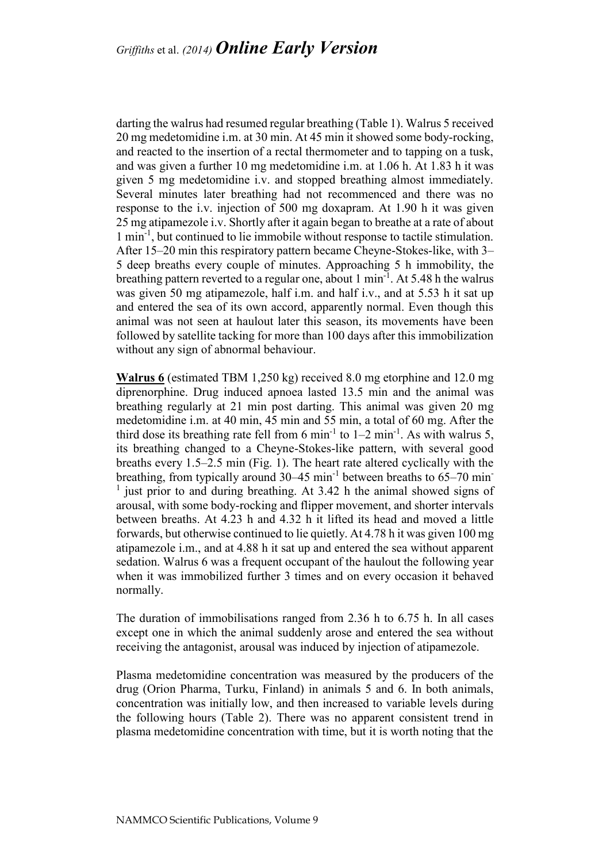darting the walrus had resumed regular breathing (Table 1). Walrus 5 received 20 mg medetomidine i.m. at 30 min. At 45 min it showed some body-rocking, and reacted to the insertion of a rectal thermometer and to tapping on a tusk, and was given a further 10 mg medetomidine i.m. at 1.06 h. At 1.83 h it was given 5 mg medetomidine i.v. and stopped breathing almost immediately. Several minutes later breathing had not recommenced and there was no response to the i.v. injection of 500 mg doxapram. At 1.90 h it was given 25 mg atipamezole i.v. Shortly after it again began to breathe at a rate of about 1 min-1 , but continued to lie immobile without response to tactile stimulation. After 15–20 min this respiratory pattern became Cheyne-Stokes-like, with 3– 5 deep breaths every couple of minutes. Approaching 5 h immobility, the breathing pattern reverted to a regular one, about 1 min<sup>-1</sup>. At 5.48 h the walrus was given 50 mg atipamezole, half i.m. and half i.v., and at 5.53 h it sat up and entered the sea of its own accord, apparently normal. Even though this animal was not seen at haulout later this season, its movements have been followed by satellite tacking for more than 100 days after this immobilization without any sign of abnormal behaviour.

**Walrus 6** (estimated TBM 1,250 kg) received 8.0 mg etorphine and 12.0 mg diprenorphine. Drug induced apnoea lasted 13.5 min and the animal was breathing regularly at 21 min post darting. This animal was given 20 mg medetomidine i.m. at 40 min, 45 min and 55 min, a total of 60 mg. After the third dose its breathing rate fell from 6 min<sup>-1</sup> to  $1-2$  min<sup>-1</sup>. As with walrus 5, its breathing changed to a Cheyne-Stokes-like pattern, with several good breaths every 1.5–2.5 min (Fig. 1). The heart rate altered cyclically with the breathing, from typically around  $30-45$  min<sup>-1</sup> between breaths to  $65-70$  min- $<sup>1</sup>$  just prior to and during breathing. At 3.42 h the animal showed signs of</sup> arousal, with some body-rocking and flipper movement, and shorter intervals between breaths. At 4.23 h and 4.32 h it lifted its head and moved a little forwards, but otherwise continued to lie quietly. At 4.78 h it was given 100 mg atipamezole i.m., and at 4.88 h it sat up and entered the sea without apparent sedation. Walrus 6 was a frequent occupant of the haulout the following year when it was immobilized further 3 times and on every occasion it behaved normally.

The duration of immobilisations ranged from 2.36 h to 6.75 h. In all cases except one in which the animal suddenly arose and entered the sea without receiving the antagonist, arousal was induced by injection of atipamezole.

Plasma medetomidine concentration was measured by the producers of the drug (Orion Pharma, Turku, Finland) in animals 5 and 6. In both animals, concentration was initially low, and then increased to variable levels during the following hours (Table 2). There was no apparent consistent trend in plasma medetomidine concentration with time, but it is worth noting that the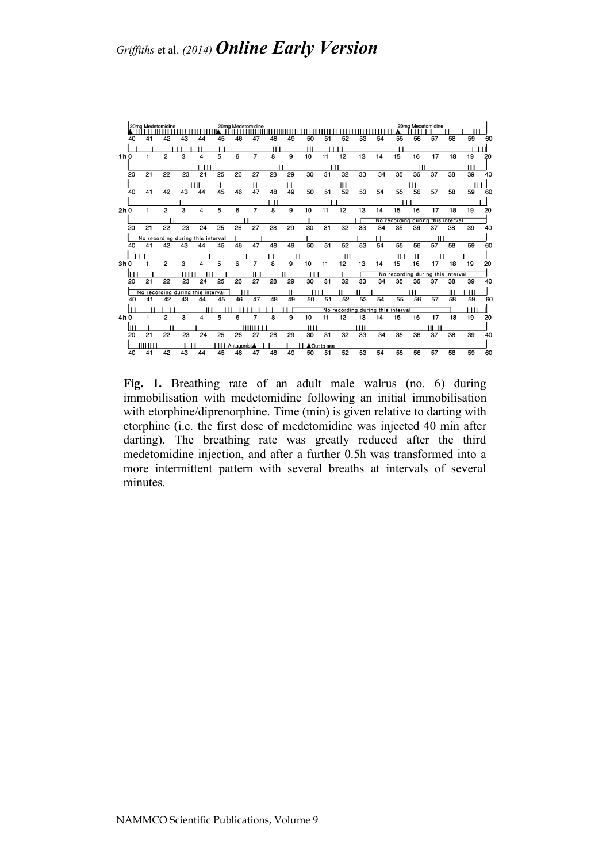

Fig. 1. Breathing rate of an adult male walrus (no. 6) during immobilisation with medetomidine following an initial immobilisation with etorphine/diprenorphine. Time (min) is given relative to darting with etorphine (i.e. the first dose of medetomidine was injected 40 min after darting). The breathing rate was greatly reduced after the third medetomidine injection, and after a further 0.5h was transformed into a more intermittent pattern with several breaths at intervals of several minutes.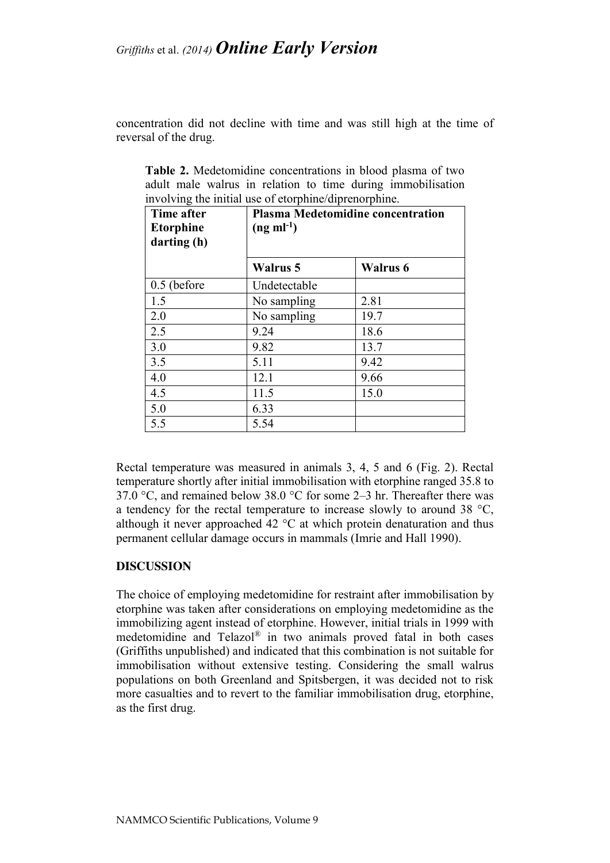concentration did not decline with time and was still high at the time of reversal of the drug.

| Time after<br><b>Etorphine</b><br>darting (h) | <b>Plasma Medetomidine concentration</b><br>$(ng \text{ ml}^{-1})$ |          |  |  |  |
|-----------------------------------------------|--------------------------------------------------------------------|----------|--|--|--|
|                                               | Walrus 5                                                           | Walrus 6 |  |  |  |
| $0.5$ (before                                 | Undetectable                                                       |          |  |  |  |
| 1.5                                           | No sampling                                                        | 2.81     |  |  |  |
| 2.0                                           | No sampling                                                        | 19.7     |  |  |  |
| 2.5                                           | 9.24                                                               | 18.6     |  |  |  |
| 3.0                                           | 9.82                                                               | 13.7     |  |  |  |
| 3.5                                           | 5.11                                                               | 9.42     |  |  |  |
| 4.0                                           | 12.1                                                               | 9.66     |  |  |  |
| 4.5                                           | 11.5                                                               | 15.0     |  |  |  |
| 5.0                                           | 6.33                                                               |          |  |  |  |
| 5.5                                           | 5.54                                                               |          |  |  |  |

**Table 2.** Medetomidine concentrations in blood plasma of two adult male walrus in relation to time during immobilisation involving the initial use of etorphine/diprenorphine.

Rectal temperature was measured in animals 3, 4, 5 and 6 (Fig. 2). Rectal temperature shortly after initial immobilisation with etorphine ranged 35.8 to 37.0 °C, and remained below 38.0 °C for some 2–3 hr. Thereafter there was a tendency for the rectal temperature to increase slowly to around 38 °C, although it never approached 42 °C at which protein denaturation and thus permanent cellular damage occurs in mammals (Imrie and Hall 1990).

#### **DISCUSSION**

The choice of employing medetomidine for restraint after immobilisation by etorphine was taken after considerations on employing medetomidine as the immobilizing agent instead of etorphine. However, initial trials in 1999 with medetomidine and Telazol® in two animals proved fatal in both cases (Griffiths unpublished) and indicated that this combination is not suitable for immobilisation without extensive testing. Considering the small walrus populations on both Greenland and Spitsbergen, it was decided not to risk more casualties and to revert to the familiar immobilisation drug, etorphine, as the first drug.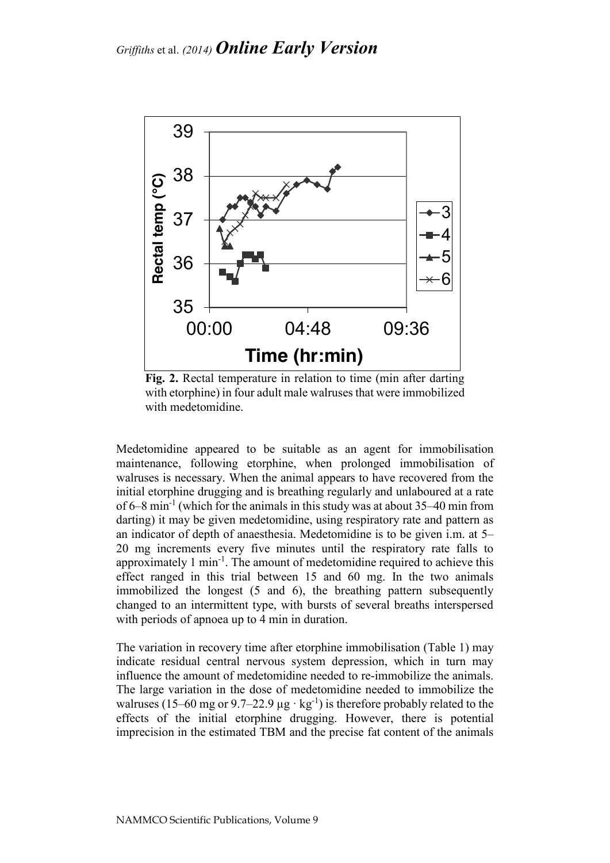

**Fig. 2.** Rectal temperature in relation to time (min after darting with etorphine) in four adult male walruses that were immobilized with medetomidine.

Medetomidine appeared to be suitable as an agent for immobilisation maintenance, following etorphine, when prolonged immobilisation of walruses is necessary. When the animal appears to have recovered from the initial etorphine drugging and is breathing regularly and unlaboured at a rate of 6–8 min<sup>-1</sup> (which for the animals in this study was at about  $35-40$  min from darting) it may be given medetomidine, using respiratory rate and pattern as an indicator of depth of anaesthesia. Medetomidine is to be given i.m. at 5– 20 mg increments every five minutes until the respiratory rate falls to approximately 1 min<sup>-1</sup>. The amount of medetomidine required to achieve this effect ranged in this trial between 15 and 60 mg. In the two animals immobilized the longest (5 and 6), the breathing pattern subsequently changed to an intermittent type, with bursts of several breaths interspersed with periods of apnoea up to 4 min in duration.

The variation in recovery time after etorphine immobilisation (Table 1) may indicate residual central nervous system depression, which in turn may influence the amount of medetomidine needed to re-immobilize the animals. The large variation in the dose of medetomidine needed to immobilize the walruses (15–60 mg or 9.7–22.9  $\mu$ g · kg<sup>-1</sup>) is therefore probably related to the effects of the initial etorphine drugging. However, there is potential imprecision in the estimated TBM and the precise fat content of the animals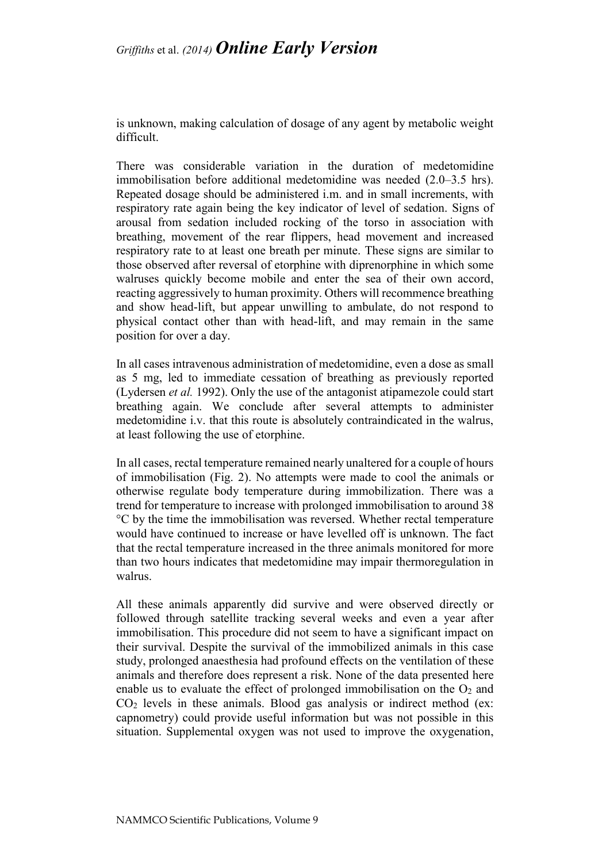is unknown, making calculation of dosage of any agent by metabolic weight difficult.

There was considerable variation in the duration of medetomidine immobilisation before additional medetomidine was needed (2.0–3.5 hrs). Repeated dosage should be administered i.m. and in small increments, with respiratory rate again being the key indicator of level of sedation. Signs of arousal from sedation included rocking of the torso in association with breathing, movement of the rear flippers, head movement and increased respiratory rate to at least one breath per minute. These signs are similar to those observed after reversal of etorphine with diprenorphine in which some walruses quickly become mobile and enter the sea of their own accord, reacting aggressively to human proximity. Others will recommence breathing and show head-lift, but appear unwilling to ambulate, do not respond to physical contact other than with head-lift, and may remain in the same position for over a day.

In all cases intravenous administration of medetomidine, even a dose as small as 5 mg, led to immediate cessation of breathing as previously reported (Lydersen *et al.* 1992). Only the use of the antagonist atipamezole could start breathing again. We conclude after several attempts to administer medetomidine i.v. that this route is absolutely contraindicated in the walrus, at least following the use of etorphine.

In all cases, rectal temperature remained nearly unaltered for a couple of hours of immobilisation (Fig. 2). No attempts were made to cool the animals or otherwise regulate body temperature during immobilization. There was a trend for temperature to increase with prolonged immobilisation to around 38 °C by the time the immobilisation was reversed. Whether rectal temperature would have continued to increase or have levelled off is unknown. The fact that the rectal temperature increased in the three animals monitored for more than two hours indicates that medetomidine may impair thermoregulation in walrus.

All these animals apparently did survive and were observed directly or followed through satellite tracking several weeks and even a year after immobilisation. This procedure did not seem to have a significant impact on their survival. Despite the survival of the immobilized animals in this case study, prolonged anaesthesia had profound effects on the ventilation of these animals and therefore does represent a risk. None of the data presented here enable us to evaluate the effect of prolonged immobilisation on the  $O<sub>2</sub>$  and  $CO<sub>2</sub>$  levels in these animals. Blood gas analysis or indirect method (ex: capnometry) could provide useful information but was not possible in this situation. Supplemental oxygen was not used to improve the oxygenation,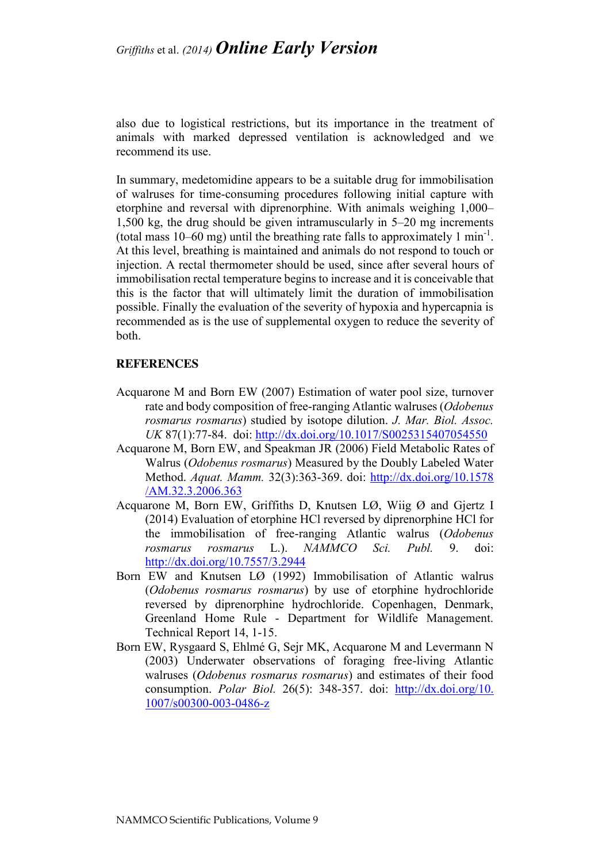also due to logistical restrictions, but its importance in the treatment of animals with marked depressed ventilation is acknowledged and we recommend its use.

In summary, medetomidine appears to be a suitable drug for immobilisation of walruses for time-consuming procedures following initial capture with etorphine and reversal with diprenorphine. With animals weighing 1,000– 1,500 kg, the drug should be given intramuscularly in 5–20 mg increments (total mass  $10-60$  mg) until the breathing rate falls to approximately 1 min<sup>-1</sup>. At this level, breathing is maintained and animals do not respond to touch or injection. A rectal thermometer should be used, since after several hours of immobilisation rectal temperature begins to increase and it is conceivable that this is the factor that will ultimately limit the duration of immobilisation possible. Finally the evaluation of the severity of hypoxia and hypercapnia is recommended as is the use of supplemental oxygen to reduce the severity of both.

#### **REFERENCES**

- Acquarone M and Born EW (2007) Estimation of water pool size, turnover rate and body composition of free-ranging Atlantic walruses (*Odobenus rosmarus rosmarus*) studied by isotope dilution. *J. Mar. Biol. Assoc. UK* 87(1):77-84. doi:<http://dx.doi.org/10.1017/S0025315407054550>
- Acquarone M, Born EW, and Speakman JR (2006) Field Metabolic Rates of Walrus (*Odobenus rosmarus*) Measured by the Doubly Labeled Water Method. *Aquat. Mamm.* 32(3):363-369. doi: [http://dx.doi.org/10.1578](http://dx.doi.org/10.1578/AM.32.3.2006.363) [/AM.32.3.2006.363](http://dx.doi.org/10.1578/AM.32.3.2006.363)
- Acquarone M, Born EW, Griffiths D, Knutsen LØ, Wiig Ø and Gjertz I (2014) Evaluation of etorphine HCl reversed by diprenorphine HCl for the immobilisation of free-ranging Atlantic walrus (*Odobenus rosmarus rosmarus* L.). *NAMMCO Sci. Publ.* 9. doi: <http://dx.doi.org/10.7557/3.2944>
- Born EW and Knutsen LØ (1992) Immobilisation of Atlantic walrus (*Odobenus rosmarus rosmarus*) by use of etorphine hydrochloride reversed by diprenorphine hydrochloride. Copenhagen, Denmark, Greenland Home Rule - Department for Wildlife Management. Technical Report 14, 1-15.
- Born EW, Rysgaard S, Ehlmé G, Sejr MK, Acquarone M and Levermann N (2003) Underwater observations of foraging free-living Atlantic walruses (*Odobenus rosmarus rosmarus*) and estimates of their food consumption. *Polar Biol.* 26(5): 348-357. doi: http://dx.doi.org/10. 1007/s00300-003-0486-z